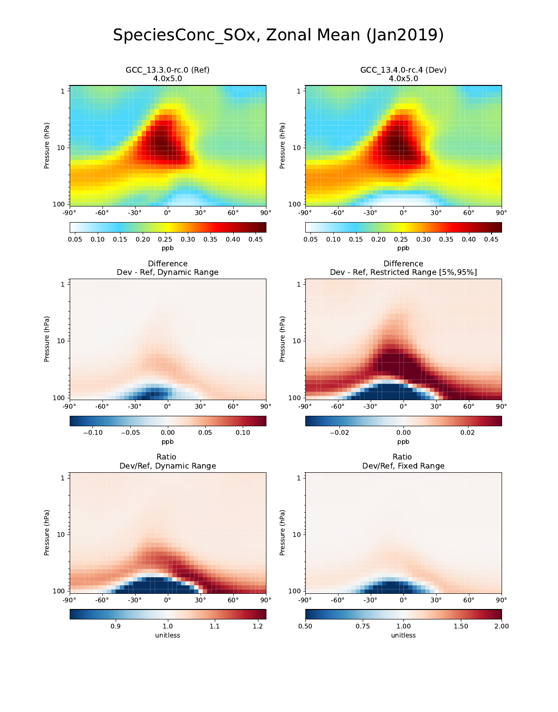# SpeciesConc\_SOx, Zonal Mean (Jan2019)

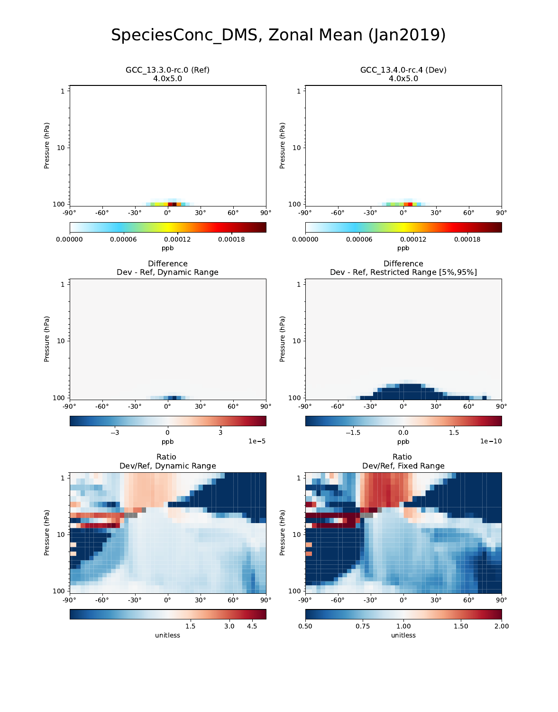## SpeciesConc\_DMS, Zonal Mean (Jan2019)

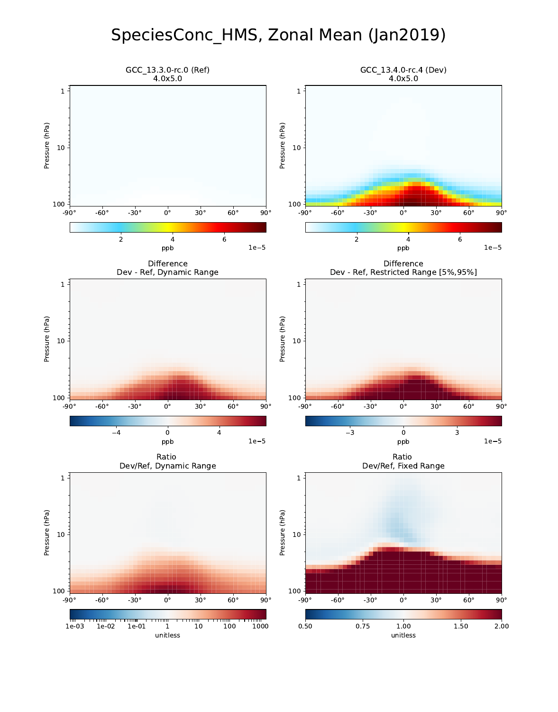## SpeciesConc\_HMS, Zonal Mean (Jan2019)

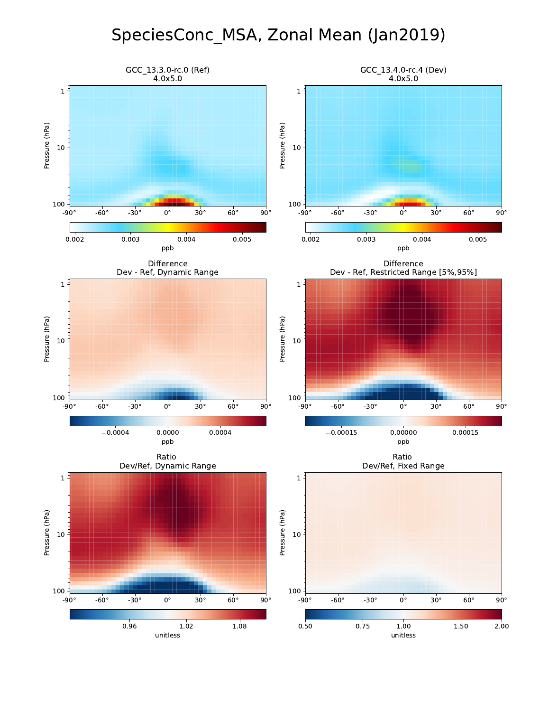## SpeciesConc\_MSA, Zonal Mean (Jan2019)

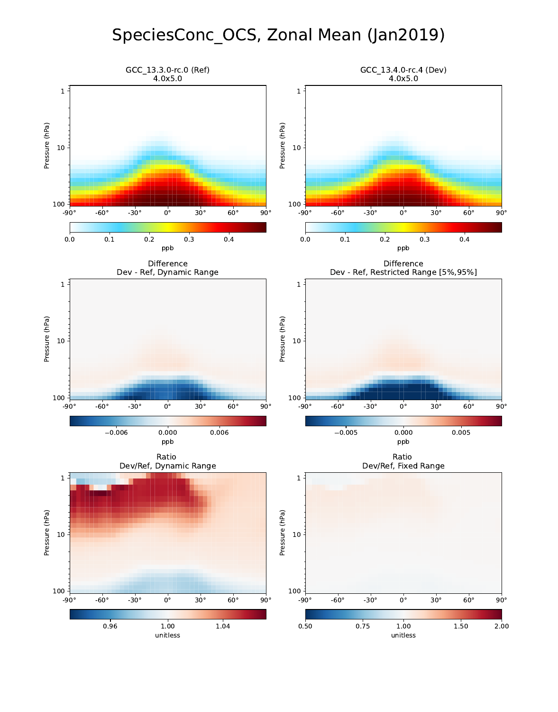# SpeciesConc\_OCS, Zonal Mean (Jan2019)

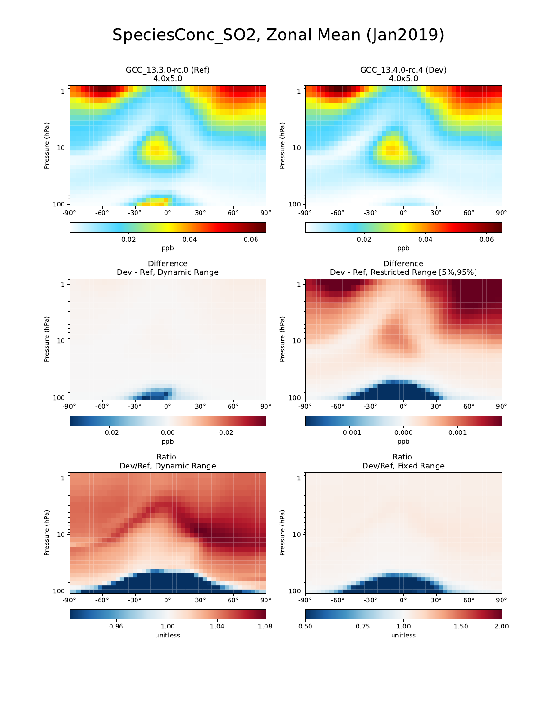# SpeciesConc\_SO2, Zonal Mean (Jan2019)